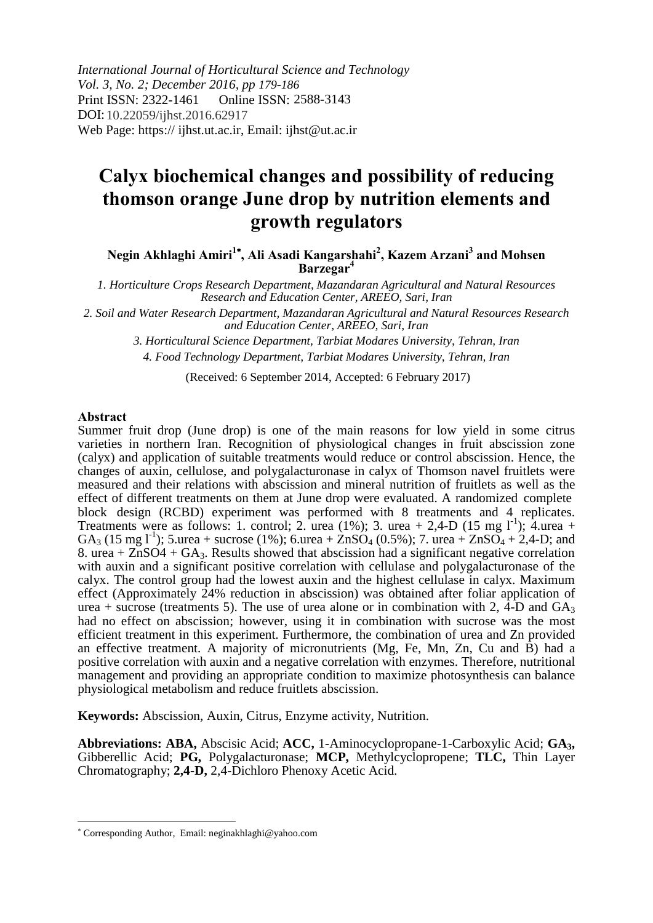*International Journal of Horticultural Science and Technology Vol. 3, No. 2; December 2016, pp 179-186* Print ISSN: 2322-1461 DOI: 10.22059/ijhst.2016.62917Web Page: https:// ijhst.ut.ac.ir, Email: ijhst@ut.ac.ir Online ISSN: 2588-3143

# **Calyx biochemical changes and possibility of reducing thomson orange June drop by nutrition elements and growth regulators**

**Negin Akhlaghi Amiri<sup>1</sup> , Ali Asadi Kangarshahi<sup>2</sup> , Kazem Arzani<sup>3</sup> and Mohsen Barzegar<sup>4</sup>**

*1. Horticulture Crops Research Department, Mazandaran Agricultural and Natural Resources Research and Education Center, AREEO, Sari, Iran*

*2. Soil and Water Research Department, Mazandaran Agricultural and Natural Resources Research and Education Center, AREEO, Sari, Iran*

*3. Horticultural Science Department, Tarbiat Modares University, Tehran, Iran*

*4. Food Technology Department, Tarbiat Modares University, Tehran, Iran*

(Received: 6 September 2014, Accepted: 6 February 2017)

#### **Abstract**

 $\overline{\phantom{a}}$ 

Summer fruit drop (June drop) is one of the main reasons for low yield in some citrus varieties in northern Iran. Recognition of physiological changes in fruit abscission zone (calyx) and application of suitable treatments would reduce or control abscission. Hence, the changes of auxin, cellulose, and polygalacturonase in calyx of Thomson navel fruitlets were measured and their relations with abscission and mineral nutrition of fruitlets as well as the effect of different treatments on them at June drop were evaluated. A randomized complete block design (RCBD) experiment was performed with 8 treatments and 4 replicates. Treatments were as follows: 1. control; 2. urea (1%); 3. urea + 2,4-D (15 mg  $1^{-1}$ ); 4. urea + GA<sub>3</sub> (15 mg l<sup>-1</sup>); 5.urea + sucrose (1%); 6.urea +  $\angle ZnSO_4$  (0.5%); 7. urea +  $\angle ZnSO_4 + 2,4-D$ ; and 8. urea +  $ZnSO4 + GA_3$ . Results showed that abscission had a significant negative correlation with auxin and a significant positive correlation with cellulase and polygalacturonase of the calyx. The control group had the lowest auxin and the highest cellulase in calyx. Maximum effect (Approximately 24% reduction in abscission) was obtained after foliar application of urea + sucrose (treatments 5). The use of urea alone or in combination with 2, 4-D and  $GA_3$ had no effect on abscission; however, using it in combination with sucrose was the most efficient treatment in this experiment. Furthermore, the combination of urea and Zn provided an effective treatment. A majority of micronutrients (Mg, Fe, Mn, Zn, Cu and B) had a positive correlation with auxin and a negative correlation with enzymes. Therefore, nutritional management and providing an appropriate condition to maximize photosynthesis can balance physiological metabolism and reduce fruitlets abscission.

**Keywords:** Abscission, Auxin, Citrus, Enzyme activity, Nutrition.

**Abbreviations: ABA,** Abscisic Acid; **ACC,** 1-Aminocyclopropane-1-Carboxylic Acid; **GA3,**  Gibberellic Acid; **PG,** Polygalacturonase; **MCP,** Methylcyclopropene; **TLC,** Thin Layer Chromatography; **2,4-D,** 2,4-Dichloro Phenoxy Acetic Acid.

 Corresponding Author, Email: neginakhlaghi@yahoo.com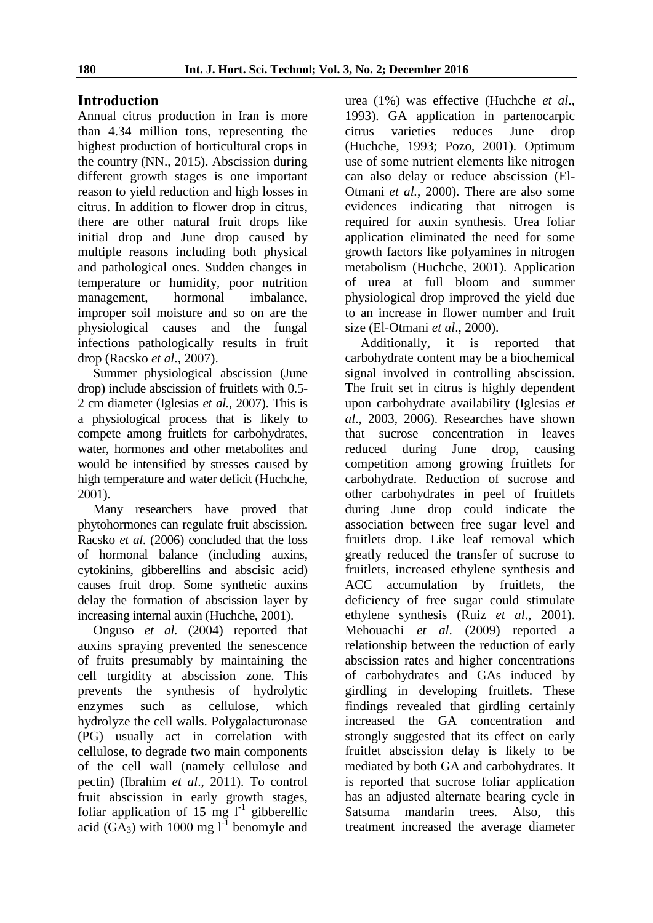# **Introduction**

Annual citrus production in Iran is more than 4.34 million tons, representing the highest production of horticultural crops in the country (NN., 2015). Abscission during different growth stages is one important reason to yield reduction and high losses in citrus. In addition to flower drop in citrus, there are other natural fruit drops like initial drop and June drop caused by multiple reasons including both physical and pathological ones. Sudden changes in temperature or humidity, poor nutrition management, hormonal imbalance, improper soil moisture and so on are the physiological causes and the fungal infections pathologically results in fruit drop (Racsko *et al*., 2007).

Summer physiological abscission (June drop) include abscission of fruitlets with 0.5- 2 cm diameter (Iglesias *et al.,* 2007). This is a physiological process that is likely to compete among fruitlets for carbohydrates, water, hormones and other metabolites and would be intensified by stresses caused by high temperature and water deficit (Huchche, 2001).

Many researchers have proved that phytohormones can regulate fruit abscission. Racsko *et al*. (2006) concluded that the loss of hormonal balance (including auxins, cytokinins, gibberellins and abscisic acid) causes fruit drop. Some synthetic auxins delay the formation of abscission layer by increasing internal auxin (Huchche, 2001).

Onguso *et al.* (2004) reported that auxins spraying prevented the senescence of fruits presumably by maintaining the cell turgidity at abscission zone. This prevents the synthesis of hydrolytic enzymes such as cellulose, which hydrolyze the cell walls. Polygalacturonase (PG) usually act in correlation with cellulose, to degrade two main components of the cell wall (namely cellulose and pectin) (Ibrahim *et al*., 2011). To control fruit abscission in early growth stages, foliar application of 15 mg  $l^{-1}$  gibberellic acid  $(GA_3)$  with 1000 mg  $1^{-1}$  benomyle and urea (1%) was effective (Huchche *et al*., 1993). GA application in partenocarpic citrus varieties reduces June drop (Huchche, 1993; Pozo, 2001). Optimum use of some nutrient elements like nitrogen can also delay or reduce abscission (El-Otmani *et al.*, 2000). There are also some evidences indicating that nitrogen is required for auxin synthesis. Urea foliar application eliminated the need for some growth factors like polyamines in nitrogen metabolism (Huchche, 2001). Application of urea at full bloom and summer physiological drop improved the yield due to an increase in flower number and fruit size (El-Otmani *et al*., 2000).

Additionally, it is reported that carbohydrate content may be a biochemical signal involved in controlling abscission. The fruit set in citrus is highly dependent upon carbohydrate availability (Iglesias *et al*., 2003, 2006). Researches have shown that sucrose concentration in leaves reduced during June drop, causing competition among growing fruitlets for carbohydrate. Reduction of sucrose and other carbohydrates in peel of fruitlets during June drop could indicate the association between free sugar level and fruitlets drop. Like leaf removal which greatly reduced the transfer of sucrose to fruitlets, increased ethylene synthesis and ACC accumulation by fruitlets, the deficiency of free sugar could stimulate ethylene synthesis (Ruiz *et al*., 2001). Mehouachi *et al*. (2009) reported a relationship between the reduction of early abscission rates and higher concentrations of carbohydrates and GAs induced by girdling in developing fruitlets. These findings revealed that girdling certainly increased the GA concentration and strongly suggested that its effect on early fruitlet abscission delay is likely to be mediated by both GA and carbohydrates. It is reported that sucrose foliar application has an adjusted alternate bearing cycle in Satsuma mandarin trees. Also, this treatment increased the average diameter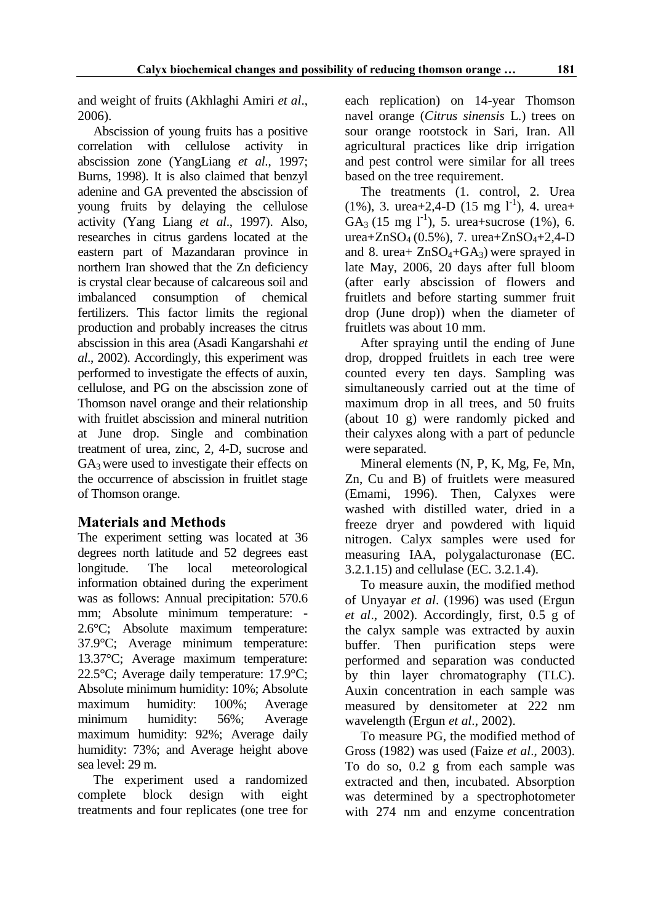and weight of fruits (Akhlaghi Amiri *et al*., 2006).

Abscission of young fruits has a positive correlation with cellulose activity in abscission zone (YangLiang *et al*., 1997; Burns, 1998). It is also claimed that benzyl adenine and GA prevented the abscission of young fruits by delaying the cellulose activity (Yang Liang *et al*., 1997). Also, researches in citrus gardens located at the eastern part of Mazandaran province in northern Iran showed that the Zn deficiency is crystal clear because of calcareous soil and imbalanced consumption of chemical fertilizers. This factor limits the regional production and probably increases the citrus abscission in this area (Asadi Kangarshahi *et al*., 2002). Accordingly, this experiment was performed to investigate the effects of auxin, cellulose, and PG on the abscission zone of Thomson navel orange and their relationship with fruitlet abscission and mineral nutrition at June drop. Single and combination treatment of urea, zinc, 2, 4-D, sucrose and  $GA<sub>3</sub>$  were used to investigate their effects on the occurrence of abscission in fruitlet stage of Thomson orange.

# **Materials and Methods**

The experiment setting was located at 36 degrees north latitude and 52 degrees east longitude. The local meteorological information obtained during the experiment was as follows: Annual precipitation: 570.6 mm; Absolute minimum temperature: - 2.6°C; Absolute maximum temperature: 37.9°C; Average minimum temperature: 13.37°C; Average maximum temperature: 22.5°C; Average daily temperature: 17.9°C; Absolute minimum humidity: 10%; Absolute maximum humidity: 100%; Average minimum humidity: 56%; Average maximum humidity: 92%; Average daily humidity: 73%; and Average height above sea level: 29 m.

The experiment used a randomized complete block design with eight treatments and four replicates (one tree for each replication) on 14-year Thomson navel orange (*Citrus sinensis* L.) trees on sour orange rootstock in Sari, Iran. All agricultural practices like drip irrigation and pest control were similar for all trees based on the tree requirement.

The treatments (1. control, 2. Urea  $(1\%)$ , 3. urea+2,4-D  $(15 \text{ mg } l^{-1})$ , 4. urea+ GA<sub>3</sub> (15 mg  $l^{-1}$ ), 5. urea+sucrose (1%), 6. urea+ZnSO<sub>4</sub> (0.5%), 7. urea+ZnSO<sub>4</sub>+2,4-D and 8. urea+  $ZnSO_4+GA_3$ ) were sprayed in late May, 2006, 20 days after full bloom (after early abscission of flowers and fruitlets and before starting summer fruit drop (June drop)) when the diameter of fruitlets was about 10 mm.

After spraying until the ending of June drop, dropped fruitlets in each tree were counted every ten days. Sampling was simultaneously carried out at the time of maximum drop in all trees, and 50 fruits (about 10 g) were randomly picked and their calyxes along with a part of peduncle were separated.

Mineral elements (N, P, K, Mg, Fe, Mn, Zn, Cu and B) of fruitlets were measured (Emami, 1996). Then, Calyxes were washed with distilled water, dried in a freeze dryer and powdered with liquid nitrogen. Calyx samples were used for measuring IAA, polygalacturonase (EC. 3.2.1.15) and cellulase (EC. 3.2.1.4).

To measure auxin, the modified method of Unyayar *et al*. (1996) was used (Ergun *et al*., 2002). Accordingly, first, 0.5 g of the calyx sample was extracted by auxin buffer. Then purification steps were performed and separation was conducted by thin layer chromatography (TLC). Auxin concentration in each sample was measured by densitometer at 222 nm wavelength (Ergun *et al*., 2002).

To measure PG, the modified method of Gross (1982) was used (Faize *et al*., 2003). To do so, 0.2 g from each sample was extracted and then, incubated. Absorption was determined by a spectrophotometer with 274 nm and enzyme concentration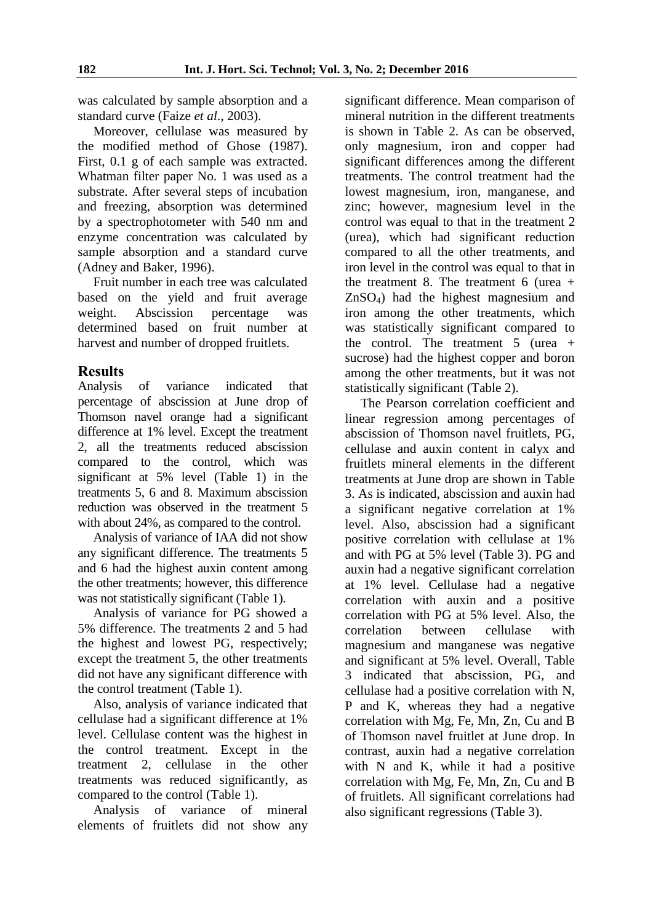was calculated by sample absorption and a standard curve (Faize *et al*., 2003).

Moreover, cellulase was measured by the modified method of Ghose (1987). First, 0.1 g of each sample was extracted. Whatman filter paper No. 1 was used as a substrate. After several steps of incubation and freezing, absorption was determined by a spectrophotometer with 540 nm and enzyme concentration was calculated by sample absorption and a standard curve (Adney and Baker, 1996).

Fruit number in each tree was calculated based on the yield and fruit average weight. Abscission percentage was determined based on fruit number at harvest and number of dropped fruitlets.

## **Results**

Analysis of variance indicated that percentage of abscission at June drop of Thomson navel orange had a significant difference at 1% level. Except the treatment 2, all the treatments reduced abscission compared to the control, which was significant at 5% level (Table 1) in the treatments 5, 6 and 8. Maximum abscission reduction was observed in the treatment 5 with about 24%, as compared to the control.

Analysis of variance of IAA did not show any significant difference. The treatments 5 and 6 had the highest auxin content among the other treatments; however, this difference was not statistically significant (Table 1).

Analysis of variance for PG showed a 5% difference. The treatments 2 and 5 had the highest and lowest PG, respectively; except the treatment 5, the other treatments did not have any significant difference with the control treatment (Table 1).

Also, analysis of variance indicated that cellulase had a significant difference at 1% level. Cellulase content was the highest in the control treatment. Except in the treatment 2, cellulase in the other treatments was reduced significantly, as compared to the control (Table 1).

Analysis of variance of mineral elements of fruitlets did not show any significant difference. Mean comparison of mineral nutrition in the different treatments is shown in Table 2. As can be observed, only magnesium, iron and copper had significant differences among the different treatments. The control treatment had the lowest magnesium, iron, manganese, and zinc; however, magnesium level in the control was equal to that in the treatment 2 (urea), which had significant reduction compared to all the other treatments, and iron level in the control was equal to that in the treatment 8. The treatment 6 (urea  $+$ ZnSO4) had the highest magnesium and iron among the other treatments, which was statistically significant compared to the control. The treatment  $5$  (urea + sucrose) had the highest copper and boron among the other treatments, but it was not statistically significant (Table 2).

The Pearson correlation coefficient and linear regression among percentages of abscission of Thomson navel fruitlets, PG, cellulase and auxin content in calyx and fruitlets mineral elements in the different treatments at June drop are shown in Table 3. As is indicated, abscission and auxin had a significant negative correlation at 1% level. Also, abscission had a significant positive correlation with cellulase at 1% and with PG at 5% level (Table 3). PG and auxin had a negative significant correlation at 1% level. Cellulase had a negative correlation with auxin and a positive correlation with PG at 5% level. Also, the correlation between cellulase with magnesium and manganese was negative and significant at 5% level. Overall, Table 3 indicated that abscission, PG, and cellulase had a positive correlation with N, P and K, whereas they had a negative correlation with Mg, Fe, Mn, Zn, Cu and B of Thomson navel fruitlet at June drop. In contrast, auxin had a negative correlation with N and K, while it had a positive correlation with Mg, Fe, Mn, Zn, Cu and B of fruitlets. All significant correlations had also significant regressions (Table 3).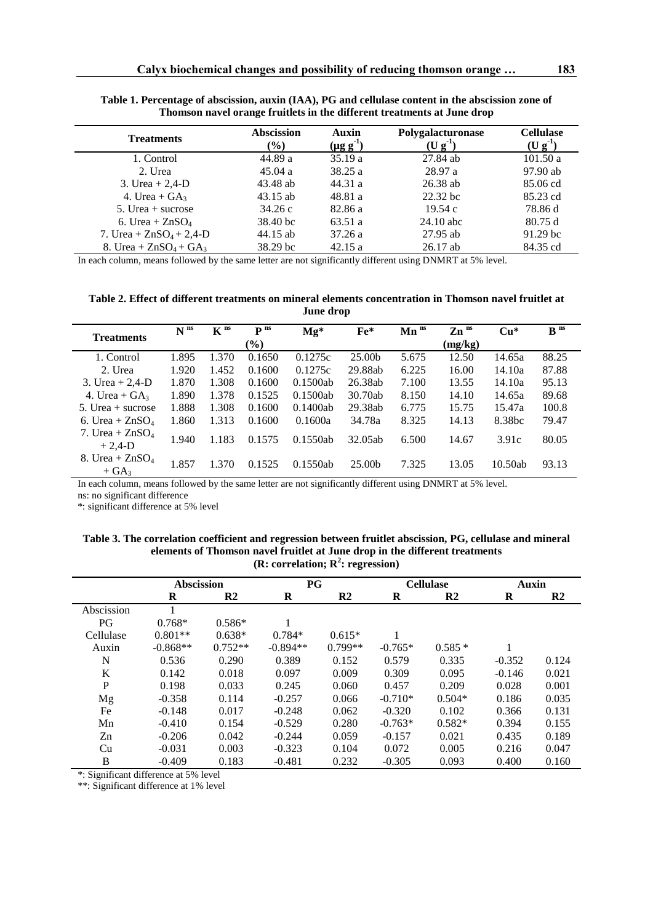| <b>Treatments</b>          | <b>Abscission</b><br>$(\%)$ | Auxin<br>$(\mu g g^1)$ | Polygalacturonase<br>$(U g-1)$ | <b>Cellulase</b><br>$(U g^{-1})$ |
|----------------------------|-----------------------------|------------------------|--------------------------------|----------------------------------|
| 1. Control                 | 44.89 a                     | 35.19a                 | 27.84 ab                       | 101.50a                          |
| 2. Urea                    | 45.04a                      | 38.25a                 | 28.97 a                        | 97.90 ab                         |
| 3. Urea + $2,4$ -D         | 43.48 ab                    | 44.31a                 | $26.38$ ab                     | 85.06 cd                         |
| 4. Urea + $GA_3$           | $43.15$ ab                  | 48.81 a                | 22.32 bc                       | 85.23 cd                         |
| 5. Urea $+$ sucrose        | 34.26c                      | 82.86 a                | 19.54c                         | 78.86 d                          |
| 6. Urea + $ZnSO_4$         | 38.40 bc                    | 63.51 a                | $24.10$ abc                    | 80.75d                           |
| 7. Urea + $ZnSO_4$ + 2,4-D | 44.15 ab                    | 37.26a                 | $27.95$ ab                     | $91.29$ bc                       |
| 8. Urea + $ZnSO_4 + GA_3$  | 38.29 bc                    | 42.15a                 | $26.17$ ab                     | 84.35 cd                         |

**Table 1. Percentage of abscission, auxin (IAA), PG and cellulase content in the abscission zone of Thomson navel orange fruitlets in the different treatments at June drop**

In each column, means followed by the same letter are not significantly different using DNMRT at 5% level.

**Table 2. Effect of different treatments on mineral elements concentration in Thomson navel fruitlet at June drop**

|                     | $N$ <sup>ns</sup> | $K^{ns}$ | $\mathbf{p}$ ns | $Mg^*$   | $Fe*$              | $\mathbf{Mn}$ <sup>ns</sup> | $Zn$ <sup>ns</sup> | $Cu*$              | $\mathbf{B}$ <sup>ns</sup> |
|---------------------|-------------------|----------|-----------------|----------|--------------------|-----------------------------|--------------------|--------------------|----------------------------|
| <b>Treatments</b>   |                   |          | $(\%)$          |          |                    |                             | (mg/kg)            |                    |                            |
| 1. Control          | 1.895             | 1.370    | 0.1650          | 0.1275c  | 25.00b             | 5.675                       | 12.50              | 14.65a             | 88.25                      |
| 2. Urea             | 1.920             | 1.452    | 0.1600          | 0.1275c  | 29.88ab            | 6.225                       | 16.00              | 14.10a             | 87.88                      |
| 3. Urea + $2,4$ -D  | 1.870             | 1.308    | 0.1600          | 0.1500ab | 26.38ab            | 7.100                       | 13.55              | 14.10a             | 95.13                      |
| 4. Urea + $GA_3$    | 1.890             | 1.378    | 0.1525          | 0.1500ab | 30.70ab            | 8.150                       | 14.10              | 14.65a             | 89.68                      |
| $5.$ Urea + sucrose | 1.888             | 1.308    | 0.1600          | 0.1400ab | 29.38ab            | 6.775                       | 15.75              | 15.47a             | 100.8                      |
| 6. Urea + $ZnSO4$   | 1.860             | 1.313    | 0.1600          | 0.1600a  | 34.78a             | 8.325                       | 14.13              | 8.38 <sub>bc</sub> | 79.47                      |
| 7. Urea + $ZnSO_4$  | 1.940             | 1.183    | 0.1575          | 0.1550ab | 32.05ab            | 6.500                       | 14.67              | 3.91c              | 80.05                      |
| $+2,4-D$            |                   |          |                 |          |                    |                             |                    |                    |                            |
| 8. Urea + $ZnSO_4$  | 1.857             | 1.370    | 0.1525          | 0.1550ab | 25.00 <sub>b</sub> | 7.325                       | 13.05              | 10.50ab            | 93.13                      |
| $+ GA3$             |                   |          |                 |          |                    |                             |                    |                    |                            |

In each column, means followed by the same letter are not significantly different using DNMRT at 5% level. ns: no significant difference

\*: significant difference at 5% level

#### **Table 3. The correlation coefficient and regression between fruitlet abscission, PG, cellulase and mineral elements of Thomson navel fruitlet at June drop in the different treatments (R: correlation; R<sup>2</sup> : regression)**

|             | <b>Abscission</b> |               | PG         |               | <b>Cellulase</b> |                | <b>Auxin</b> |               |
|-------------|-------------------|---------------|------------|---------------|------------------|----------------|--------------|---------------|
|             | $\bf{R}$          | $\mathbf{R2}$ | R          | $\mathbf{R2}$ | R                | R <sub>2</sub> | $\bf R$      | $\mathbf{R}2$ |
| Abscission  |                   |               |            |               |                  |                |              |               |
| PG          | $0.768*$          | $0.586*$      |            |               |                  |                |              |               |
| Cellulase   | $0.801**$         | $0.638*$      | $0.784*$   | $0.615*$      |                  |                |              |               |
| Auxin       | $-0.868**$        | $0.752**$     | $-0.894**$ | $0.799**$     | $-0.765*$        | $0.585*$       |              |               |
| N           | 0.536             | 0.290         | 0.389      | 0.152         | 0.579            | 0.335          | $-0.352$     | 0.124         |
| K           | 0.142             | 0.018         | 0.097      | 0.009         | 0.309            | 0.095          | $-0.146$     | 0.021         |
| $\mathbf P$ | 0.198             | 0.033         | 0.245      | 0.060         | 0.457            | 0.209          | 0.028        | 0.001         |
| Mg          | $-0.358$          | 0.114         | $-0.257$   | 0.066         | $-0.710*$        | $0.504*$       | 0.186        | 0.035         |
| Fe          | $-0.148$          | 0.017         | $-0.248$   | 0.062         | $-0.320$         | 0.102          | 0.366        | 0.131         |
| Mn          | $-0.410$          | 0.154         | $-0.529$   | 0.280         | $-0.763*$        | $0.582*$       | 0.394        | 0.155         |
| Zn          | $-0.206$          | 0.042         | $-0.244$   | 0.059         | $-0.157$         | 0.021          | 0.435        | 0.189         |
| Cu          | $-0.031$          | 0.003         | $-0.323$   | 0.104         | 0.072            | 0.005          | 0.216        | 0.047         |
| B           | $-0.409$          | 0.183         | $-0.481$   | 0.232         | $-0.305$         | 0.093          | 0.400        | 0.160         |

\*: Significant difference at 5% level

\*\*: Significant difference at 1% level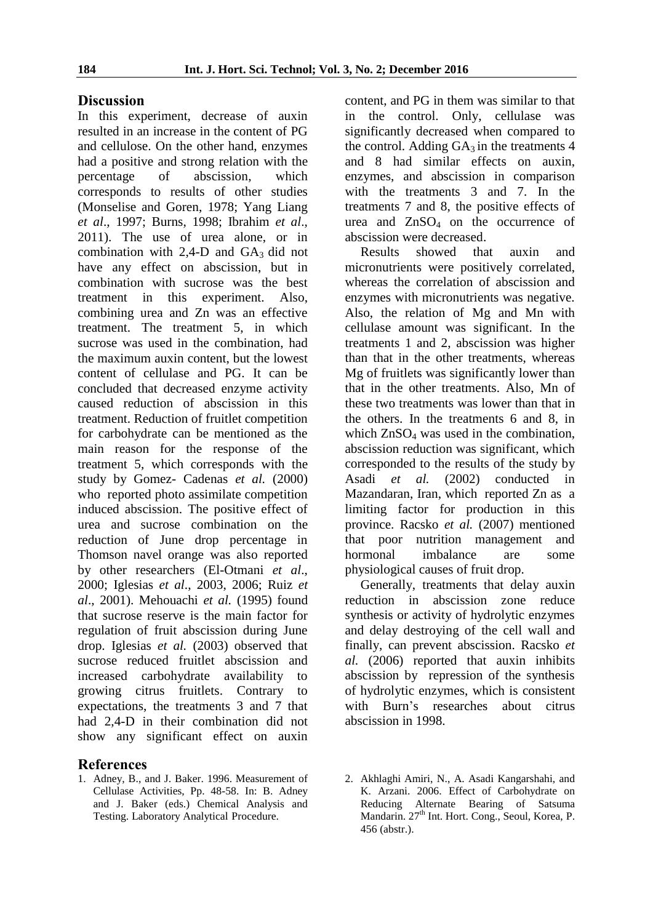### **Discussion**

In this experiment, decrease of auxin resulted in an increase in the content of PG and cellulose. On the other hand, enzymes had a positive and strong relation with the percentage of abscission, which corresponds to results of other studies (Monselise and Goren, 1978; Yang Liang *et al*., 1997; Burns, 1998; Ibrahim *et al*., 2011). The use of urea alone, or in combination with  $2,4$ -D and  $GA_3$  did not have any effect on abscission, but in combination with sucrose was the best treatment in this experiment. Also, combining urea and Zn was an effective treatment. The treatment 5, in which sucrose was used in the combination, had the maximum auxin content, but the lowest content of cellulase and PG. It can be concluded that decreased enzyme activity caused reduction of abscission in this treatment. Reduction of fruitlet competition for carbohydrate can be mentioned as the main reason for the response of the treatment 5, which corresponds with the study by Gomez- Cadenas *et al.* (2000) who reported photo assimilate competition induced abscission. The positive effect of urea and sucrose combination on the reduction of June drop percentage in Thomson navel orange was also reported by other researchers (El-Otmani *et al*., 2000; Iglesias *et al*., 2003, 2006; Ruiz *et al*., 2001). Mehouachi *et al.* (1995) found that sucrose reserve is the main factor for regulation of fruit abscission during June drop. Iglesias *et al.* (2003) observed that sucrose reduced fruitlet abscission and increased carbohydrate availability to growing citrus fruitlets. Contrary to expectations, the treatments 3 and 7 that had 2,4-D in their combination did not show any significant effect on auxin

### **References**

1. Adney, B., and J. Baker. 1996. Measurement of Cellulase Activities, Pp. 48-58. In: B. Adney and J. Baker (eds.) Chemical Analysis and Testing. Laboratory Analytical Procedure.

content, and PG in them was similar to that in the control. Only, cellulase was significantly decreased when compared to the control. Adding  $GA_3$  in the treatments 4 and 8 had similar effects on auxin, enzymes, and abscission in comparison with the treatments 3 and 7. In the treatments 7 and 8, the positive effects of urea and  $ZnSO<sub>4</sub>$  on the occurrence of abscission were decreased.

Results showed that auxin and micronutrients were positively correlated, whereas the correlation of abscission and enzymes with micronutrients was negative. Also, the relation of Mg and Mn with cellulase amount was significant. In the treatments 1 and 2, abscission was higher than that in the other treatments, whereas Mg of fruitlets was significantly lower than that in the other treatments. Also, Mn of these two treatments was lower than that in the others. In the treatments 6 and 8, in which  $ZnSO<sub>4</sub>$  was used in the combination. abscission reduction was significant, which corresponded to the results of the study by Asadi *et al.* (2002) conducted in Mazandaran, Iran, which reported Zn as a limiting factor for production in this province. Racsko *et al.* (2007) mentioned that poor nutrition management and hormonal imbalance are some physiological causes of fruit drop.

Generally, treatments that delay auxin reduction in abscission zone reduce synthesis or activity of hydrolytic enzymes and delay destroying of the cell wall and finally, can prevent abscission. Racsko *et al.* (2006) reported that auxin inhibits abscission by repression of the synthesis of hydrolytic enzymes, which is consistent with Burn's researches about citrus abscission in 1998.

2. Akhlaghi Amiri, N., A. Asadi Kangarshahi, and K. Arzani. 2006. Effect of Carbohydrate on Reducing Alternate Bearing of Satsuma Mandarin. 27<sup>th</sup> Int. Hort. Cong., Seoul, Korea, P. 456 (abstr.).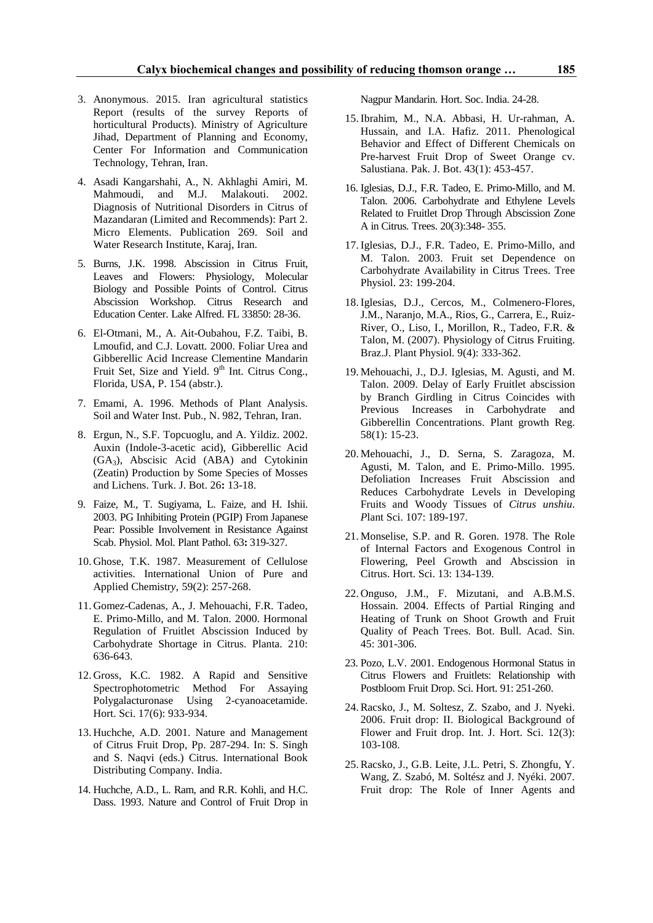- 3. Anonymous. 2015. Iran agricultural statistics Report (results of the survey Reports of horticultural Products). Ministry of Agriculture Jihad, Department of Planning and Economy, Center For Information and Communication Technology, Tehran, Iran.
- 4. Asadi Kangarshahi, A., N. Akhlaghi Amiri, M. Mahmoudi, and M.J. Malakouti. 2002. Diagnosis of Nutritional Disorders in Citrus of Mazandaran (Limited and Recommends): Part 2. Micro Elements. Publication 269. Soil and Water Research Institute, Karaj, Iran.
- 5. Burns, J.K. 1998. Abscission in Citrus Fruit, Leaves and Flowers: Physiology, Molecular Biology and Possible Points of Control. Citrus Abscission Workshop. Citrus Research and Education Center. Lake Alfred. FL 33850: 28-36.
- 6. El-Otmani, M., A. Ait-Oubahou, F.Z. Taibi, B. Lmoufid, and C.J. Lovatt. 2000. Foliar Urea and Gibberellic Acid Increase Clementine Mandarin Fruit Set, Size and Yield. 9<sup>th</sup> Int. Citrus Cong., Florida, USA, P. 154 (abstr.).
- 7. Emami, A. 1996. Methods of Plant Analysis. Soil and Water Inst. Pub., N. 982, Tehran, Iran.
- 8. Ergun, N., S.F. Topcuoglu, and A. Yildiz. 2002. Auxin (Indole-3-acetic acid), Gibberellic Acid  $(GA<sub>3</sub>)$ , Abscisic Acid (ABA) and Cytokinin (Zeatin) Production by Some Species of Mosses and Lichens. Turk. J. Bot. 26**:** 13-18.
- 9. Faize, M., T. Sugiyama, L. Faize, and H. Ishii. 2003. PG Inhibiting Protein (PGIP) From Japanese Pear: Possible Involvement in Resistance Against Scab. Physiol. Mol. Plant Pathol. 63**:** 319-327.
- 10. Ghose, T.K. 1987. Measurement of Cellulose activities. International Union of Pure and Applied Chemistr*y*, 59(2): 257-268.
- 11. Gomez-Cadenas, A., J. Mehouachi, F.R. Tadeo, E. Primo-Millo, and M. Talon. 2000. Hormonal Regulation of Fruitlet Abscission Induced by Carbohydrate Shortage in Citrus. Planta. 210: 636-643.
- 12. Gross, K.C. 1982. A Rapid and Sensitive Spectrophotometric Method For Assaying Polygalacturonase Using 2-cyanoacetamide. Hort. Sci. 17(6): 933-934.
- 13. Huchche, A.D. 2001. Nature and Management of Citrus Fruit Drop, Pp. 287-294. In: S. Singh and S. Naqvi (eds.) Citrus. International Book Distributing Company. India.
- 14. Huchche, A.D., L. Ram, and R.R. Kohli, and H.C. Dass. 1993. Nature and Control of Fruit Drop in

Nagpur Mandarin. Hort. Soc. India. 24-28.

- 15.Ibrahim, M., N.A. Abbasi, H. Ur-rahman, A. Hussain, and I.A. Hafiz. 2011. Phenological Behavior and Effect of Different Chemicals on Pre-harvest Fruit Drop of Sweet Orange cv. Salustiana. Pak. J. Bot. 43(1): 453-457.
- 16. Iglesias, D.J., F.R. Tadeo, E. Primo-Millo, and M. Talon. 2006. Carbohydrate and Ethylene Levels Related to Fruitlet Drop Through Abscission Zone A in Citrus. Trees. 20(3):348- 355.
- 17.Iglesias, D.J., F.R. Tadeo, E. Primo-Millo, and M. Talon. 2003. Fruit set Dependence on Carbohydrate Availability in Citrus Trees. Tree Physiol. 23: 199-204.
- 18.Iglesias, D.J., Cercos, M., Colmenero-Flores, J.M., Naranjo, M.A., Rios, G., Carrera, E., Ruiz-River, O., Liso, I., Morillon, R., Tadeo, F.R. & Talon, M. (2007). Physiology of Citrus Fruiting. Braz.J. Plant Physiol. 9(4): 333-362.
- 19. Mehouachi, J., D.J. Iglesias, M. Agusti, and M. Talon. 2009. Delay of Early Fruitlet abscission by Branch Girdling in Citrus Coincides with Previous Increases in Carbohydrate and Gibberellin Concentrations. Plant growth Reg. 58(1): 15-23.
- 20. Mehouachi, J., D. Serna, S. Zaragoza, M. Agusti, M. Talon, and E. Primo-Millo. 1995. Defoliation Increases Fruit Abscission and Reduces Carbohydrate Levels in Developing Fruits and Woody Tissues of *Citrus unshiu*. *P*lant Sci. 107: 189-197.
- 21. Monselise, S.P. and R. Goren. 1978. The Role of Internal Factors and Exogenous Control in Flowering, Peel Growth and Abscission in Citrus. Hort. Sci. 13: 134-139.
- 22. Onguso, J.M., F. Mizutani, and A.B.M.S. Hossain. 2004. Effects of Partial Ringing and Heating of Trunk on Shoot Growth and Fruit Quality of Peach Trees. Bot. Bull. Acad. Sin. 45: 301-306.
- 23. Pozo, L.V. 2001. Endogenous Hormonal Status in Citrus Flowers and Fruitlets: Relationship with Postbloom Fruit Drop. Sci. Hort. 91: 251-260.
- 24.Racsko, J., M. Soltesz, Z. Szabo, and J. Nyeki. 2006. Fruit drop: II. Biological Background of Flower and Fruit drop. Int. J. Hort. Sci. 12(3): 103-108.
- 25.Racsko, J., G.B. Leite, J.L. Petri, S. Zhongfu, Y. Wang, Z. Szabó, M. Soltész and J. Nyéki. 2007. Fruit drop: The Role of Inner Agents and